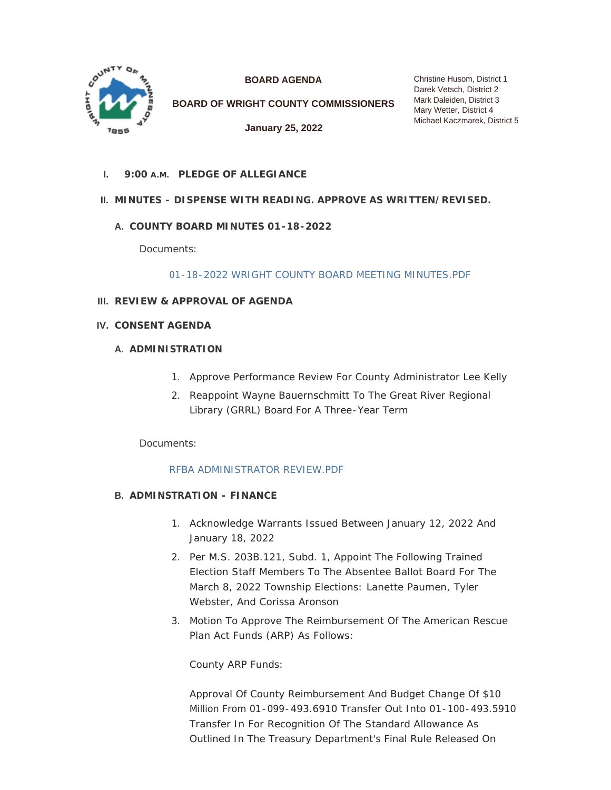

**BOARD AGENDA**

**BOARD OF WRIGHT COUNTY COMMISSIONERS**

**January 25, 2022**

Christine Husom, District 1 Darek Vetsch, District 2 Mark Daleiden, District 3 Mary Wetter, District 4 Michael Kaczmarek, District 5

**PLEDGE OF ALLEGIANCE I. 9:00 A.M.**

# **MINUTES - DISPENSE WITH READING. APPROVE AS WRITTEN/REVISED. II.**

# **COUNTY BOARD MINUTES 01-18-2022 A.**

Documents:

[01-18-2022 WRIGHT COUNTY BOARD MEETING MINUTES.PDF](http://www.co.wright.mn.us/AgendaCenter/ViewFile/Item/10276?fileID=21771)

- **REVIEW & APPROVAL OF AGENDA III.**
- **CONSENT AGENDA IV.**

## **A. ADMINISTRATION**

- 1. Approve Performance Review For County Administrator Lee Kelly
- 2. Reappoint Wayne Bauernschmitt To The Great River Regional Library (GRRL) Board For A Three-Year Term

Documents:

#### [RFBA ADMINISTRATOR REVIEW.PDF](http://www.co.wright.mn.us/AgendaCenter/ViewFile/Item/10282?fileID=21763)

#### **ADMINSTRATION - FINANCE B.**

- 1. Acknowledge Warrants Issued Between January 12, 2022 And January 18, 2022
- 2. Per M.S. 203B.121, Subd. 1, Appoint The Following Trained Election Staff Members To The Absentee Ballot Board For The March 8, 2022 Township Elections: Lanette Paumen, Tyler Webster, And Corissa Aronson
- 3. Motion To Approve The Reimbursement Of The American Rescue Plan Act Funds (ARP) As Follows:

County ARP Funds:

Approval Of County Reimbursement And Budget Change Of \$10 Million From 01-099-493.6910 Transfer Out Into 01-100-493.5910 Transfer In For Recognition Of The Standard Allowance As Outlined In The Treasury Department's Final Rule Released On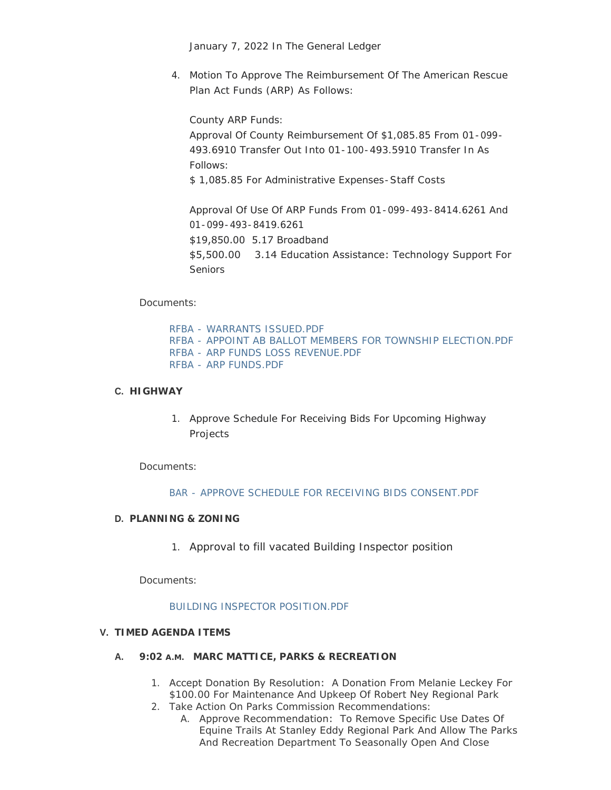January 7, 2022 In The General Ledger

4. Motion To Approve The Reimbursement Of The American Rescue Plan Act Funds (ARP) As Follows:

County ARP Funds:

Approval Of County Reimbursement Of \$1,085.85 From 01-099- 493.6910 Transfer Out Into 01-100-493.5910 Transfer In As Follows:

\$ 1,085.85 For Administrative Expenses-Staff Costs

Approval Of Use Of ARP Funds From 01-099-493-8414.6261 And 01-099-493-8419.6261 \$19,850.00 5.17 Broadband

\$5,500.00 3.14 Education Assistance: Technology Support For Seniors

Documents:

[RFBA - WARRANTS ISSUED.PDF](http://www.co.wright.mn.us/AgendaCenter/ViewFile/Item/10278?fileID=21767) [RFBA - APPOINT AB BALLOT MEMBERS FOR TOWNSHIP ELECTION.PDF](http://www.co.wright.mn.us/AgendaCenter/ViewFile/Item/10278?fileID=21764) [RFBA - ARP FUNDS LOSS REVENUE.PDF](http://www.co.wright.mn.us/AgendaCenter/ViewFile/Item/10278?fileID=21766) [RFBA - ARP FUNDS.PDF](http://www.co.wright.mn.us/AgendaCenter/ViewFile/Item/10278?fileID=21765)

## **HIGHWAY C.**

1. Approve Schedule For Receiving Bids For Upcoming Highway Projects

Documents:

#### [BAR - APPROVE SCHEDULE FOR RECEIVING BIDS CONSENT.PDF](http://www.co.wright.mn.us/AgendaCenter/ViewFile/Item/10274?fileID=21750)

### **PLANNING & ZONING D.**

1. Approval to fill vacated Building Inspector position

Documents:

#### [BUILDING INSPECTOR POSITION.PDF](http://www.co.wright.mn.us/AgendaCenter/ViewFile/Item/10283?fileID=21770)

### **TIMED AGENDA ITEMS V.**

- **A.** 9:02 A.M. MARC MATTICE, PARKS & RECREATION
	- 1. Accept Donation By Resolution: A Donation From Melanie Leckey For \$100.00 For Maintenance And Upkeep Of Robert Ney Regional Park
	- 2. Take Action On Parks Commission Recommendations:
		- A. Approve Recommendation: To Remove Specific Use Dates Of Equine Trails At Stanley Eddy Regional Park And Allow The Parks And Recreation Department To Seasonally Open And Close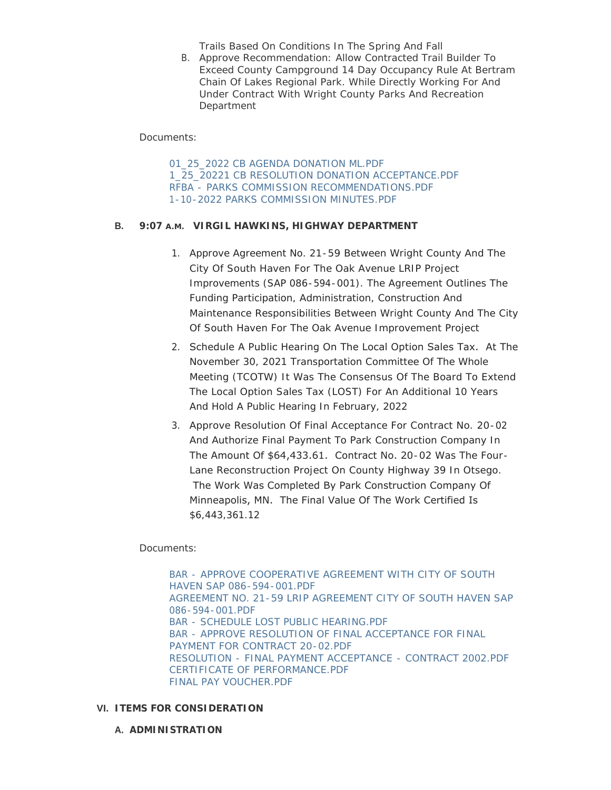Trails Based On Conditions In The Spring And Fall

B. Approve Recommendation: Allow Contracted Trail Builder To Exceed County Campground 14 Day Occupancy Rule At Bertram Chain Of Lakes Regional Park. While Directly Working For And Under Contract With Wright County Parks And Recreation **Department** 

Documents:

[01\\_25\\_2022 CB AGENDA DONATION ML.PDF](http://www.co.wright.mn.us/AgendaCenter/ViewFile/Item/10260?fileID=21731) [1\\_25\\_20221 CB RESOLUTION DONATION ACCEPTANCE.PDF](http://www.co.wright.mn.us/AgendaCenter/ViewFile/Item/10260?fileID=21732) [RFBA - PARKS COMMISSION RECOMMENDATIONS.PDF](http://www.co.wright.mn.us/AgendaCenter/ViewFile/Item/10260?fileID=21769) [1-10-2022 PARKS COMMISSION MINUTES.PDF](http://www.co.wright.mn.us/AgendaCenter/ViewFile/Item/10260?fileID=21768)

# **VIRGIL HAWKINS, HIGHWAY DEPARTMENT B. 9:07 A.M.**

- 1. Approve Agreement No. 21-59 Between Wright County And The City Of South Haven For The Oak Avenue LRIP Project Improvements (SAP 086-594-001). The Agreement Outlines The Funding Participation, Administration, Construction And Maintenance Responsibilities Between Wright County And The City Of South Haven For The Oak Avenue Improvement Project
- 2. Schedule A Public Hearing On The Local Option Sales Tax. At The November 30, 2021 Transportation Committee Of The Whole Meeting (TCOTW) It Was The Consensus Of The Board To Extend The Local Option Sales Tax (LOST) For An Additional 10 Years And Hold A Public Hearing In February, 2022
- 3. Approve Resolution Of Final Acceptance For Contract No. 20-02 And Authorize Final Payment To Park Construction Company In The Amount Of \$64,433.61. Contract No. 20-02 Was The Four-Lane Reconstruction Project On County Highway 39 In Otsego. The Work Was Completed By Park Construction Company Of Minneapolis, MN. The Final Value Of The Work Certified Is \$6,443,361.12

Documents:

[BAR - APPROVE COOPERATIVE AGREEMENT WITH CITY OF SOUTH](http://www.co.wright.mn.us/AgendaCenter/ViewFile/Item/10275?fileID=21752)  HAVEN SAP 086-594-001.PDF [AGREEMENT NO. 21-59 LRIP AGREEMENT CITY OF SOUTH HAVEN SAP](http://www.co.wright.mn.us/AgendaCenter/ViewFile/Item/10275?fileID=21751)  086-594-001.PDF [BAR - SCHEDULE LOST PUBLIC HEARING.PDF](http://www.co.wright.mn.us/AgendaCenter/ViewFile/Item/10275?fileID=21754) [BAR - APPROVE RESOLUTION OF FINAL ACCEPTANCE FOR FINAL](http://www.co.wright.mn.us/AgendaCenter/ViewFile/Item/10275?fileID=21753)  PAYMENT FOR CONTRACT 20-02.PDF [RESOLUTION - FINAL PAYMENT ACCEPTANCE - CONTRACT 2002.PDF](http://www.co.wright.mn.us/AgendaCenter/ViewFile/Item/10275?fileID=21757) [CERTIFICATE OF PERFORMANCE.PDF](http://www.co.wright.mn.us/AgendaCenter/ViewFile/Item/10275?fileID=21755) [FINAL PAY VOUCHER.PDF](http://www.co.wright.mn.us/AgendaCenter/ViewFile/Item/10275?fileID=21756)

# **ITEMS FOR CONSIDERATION VI.**

**A. ADMINISTRATION**